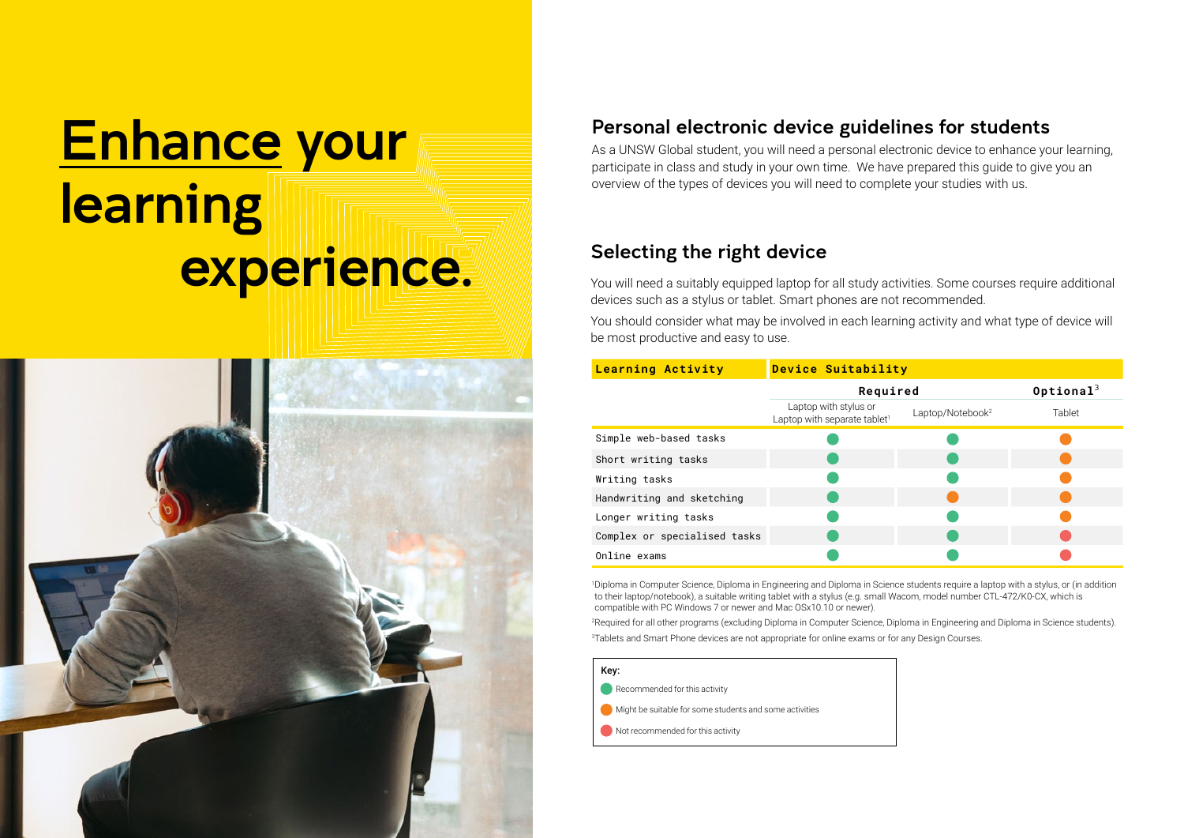# Enhance your learning experience.



### Personal electronic device guidelines for students

As a UNSW Global student, you will need a personal electronic device to enhance your learning, participate in class and study in your own time. We have prepared this guide to give you an overview of the types of devices you will need to complete your studies with us.

### Selecting the right device

You will need a suitably equipped laptop for all study activities. Some courses require additional devices such as a stylus or tablet. Smart phones are not recommended.

You should consider what may be involved in each learning activity and what type of device will be most productive and easy to use.

| <b>Learning Activity</b>     | <b>Device Suitability</b>                                         |                              |                          |
|------------------------------|-------------------------------------------------------------------|------------------------------|--------------------------|
|                              | Required                                                          |                              | $0$ ptional <sup>3</sup> |
|                              | Laptop with stylus or<br>Laptop with separate tablet <sup>1</sup> | Laptop/Notebook <sup>2</sup> | Tablet                   |
| Simple web-based tasks       |                                                                   |                              |                          |
| Short writing tasks          |                                                                   |                              |                          |
| Writing tasks                |                                                                   |                              |                          |
| Handwriting and sketching    |                                                                   |                              |                          |
| Longer writing tasks         |                                                                   |                              |                          |
| Complex or specialised tasks |                                                                   |                              |                          |
| Online exams                 |                                                                   |                              |                          |

1 Diploma in Computer Science, Diploma in Engineering and Diploma in Science students require a laptop with a stylus, or (in addition to their laptop/notebook), a suitable writing tablet with a stylus (e.g. small Wacom, model number CTL-472/K0-CX, which is compatible with PC Windows 7 or newer and Mac OSx10.10 or newer).

2 Required for all other programs (excluding Diploma in Computer Science, Diploma in Engineering and Diploma in Science students). 3 Tablets and Smart Phone devices are not appropriate for online exams or for any Design Courses.